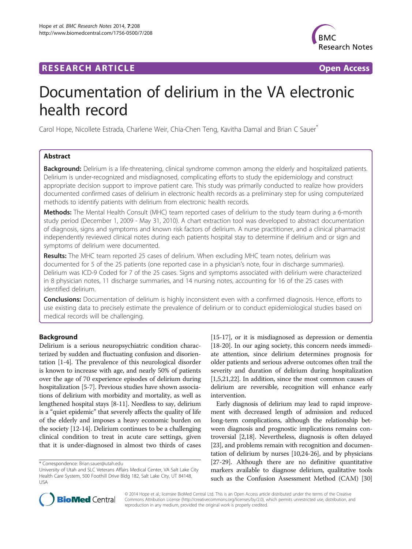## **RESEARCH ARTICLE Example 2018 12:00 THE Open Access**



# Documentation of delirium in the VA electronic health record

Carol Hope, Nicollete Estrada, Charlene Weir, Chia-Chen Teng, Kavitha Damal and Brian C Sauer\*

## Abstract

Background: Delirium is a life-threatening, clinical syndrome common among the elderly and hospitalized patients. Delirium is under-recognized and misdiagnosed, complicating efforts to study the epidemiology and construct appropriate decision support to improve patient care. This study was primarily conducted to realize how providers documented confirmed cases of delirium in electronic health records as a preliminary step for using computerized methods to identify patients with delirium from electronic health records.

Methods: The Mental Health Consult (MHC) team reported cases of delirium to the study team during a 6-month study period (December 1, 2009 - May 31, 2010). A chart extraction tool was developed to abstract documentation of diagnosis, signs and symptoms and known risk factors of delirium. A nurse practitioner, and a clinical pharmacist independently reviewed clinical notes during each patients hospital stay to determine if delirium and or sign and symptoms of delirium were documented.

Results: The MHC team reported 25 cases of delirium. When excluding MHC team notes, delirium was documented for 5 of the 25 patients (one reported case in a physician's note, four in discharge summaries). Delirium was ICD-9 Coded for 7 of the 25 cases. Signs and symptoms associated with delirium were characterized in 8 physician notes, 11 discharge summaries, and 14 nursing notes, accounting for 16 of the 25 cases with identified delirium.

**Conclusions:** Documentation of delirium is highly inconsistent even with a confirmed diagnosis. Hence, efforts to use existing data to precisely estimate the prevalence of delirium or to conduct epidemiological studies based on medical records will be challenging.

### Background

Delirium is a serious neuropsychiatric condition characterized by sudden and fluctuating confusion and disorientation [[1-4](#page-4-0)]. The prevalence of this neurological disorder is known to increase with age, and nearly 50% of patients over the age of 70 experience episodes of delirium during hospitalization [[5-7](#page-4-0)]. Previous studies have shown associations of delirium with morbidity and mortality, as well as lengthened hospital stays [[8-11\]](#page-4-0). Needless to say, delirium is a "quiet epidemic" that severely affects the quality of life of the elderly and imposes a heavy economic burden on the society [[12-14\]](#page-4-0). Delirium continues to be a challenging clinical condition to treat in acute care settings, given that it is under-diagnosed in almost two thirds of cases

[[15](#page-4-0)-[17\]](#page-4-0), or it is misdiagnosed as depression or dementia [[18](#page-4-0)-[20\]](#page-4-0). In our aging society, this concern needs immediate attention, since delirium determines prognosis for older patients and serious adverse outcomes often trail the severity and duration of delirium during hospitalization [[1,5,21,22\]](#page-4-0). In addition, since the most common causes of delirium are reversible, recognition will enhance early intervention.

Early diagnosis of delirium may lead to rapid improvement with decreased length of admission and reduced long-term complications, although the relationship between diagnosis and prognostic implications remains controversial [\[2,18](#page-4-0)]. Nevertheless, diagnosis is often delayed [[23](#page-4-0)], and problems remain with recognition and documentation of delirium by nurses [\[10,24-26](#page-4-0)], and by physicians [[27-29](#page-4-0)]. Although there are no definitive quantitative markers available to diagnose delirium, qualitative tools such as the Confusion Assessment Method (CAM) [[30](#page-5-0)]



© 2014 Hope et al.; licensee BioMed Central Ltd. This is an Open Access article distributed under the terms of the Creative Commons Attribution License [\(http://creativecommons.org/licenses/by/2.0\)](http://creativecommons.org/licenses/by/2.0), which permits unrestricted use, distribution, and reproduction in any medium, provided the original work is properly credited.

<sup>\*</sup> Correspondence: [Brian.sauer@utah.edu](mailto:Brian.sauer@utah.edu)

University of Utah and SLC Veterans Affairs Medical Center, VA Salt Lake City Health Care System, 500 Foothill Drive Bldg 182, Salt Lake City, UT 84148, USA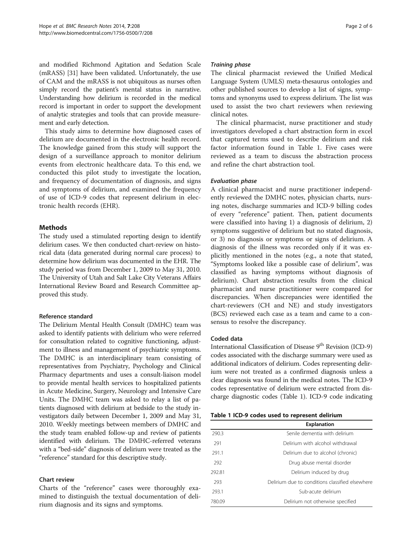and modified Richmond Agitation and Sedation Scale (mRASS) [\[31\]](#page-5-0) have been validated. Unfortunately, the use of CAM and the mRASS is not ubiquitous as nurses often simply record the patient's mental status in narrative. Understanding how delirium is recorded in the medical record is important in order to support the development of analytic strategies and tools that can provide measurement and early detection.

This study aims to determine how diagnosed cases of delirium are documented in the electronic health record. The knowledge gained from this study will support the design of a surveillance approach to monitor delirium events from electronic healthcare data. To this end, we conducted this pilot study to investigate the location, and frequency of documentation of diagnosis, and signs and symptoms of delirium, and examined the frequency of use of ICD-9 codes that represent delirium in electronic health records (EHR).

#### Methods

The study used a stimulated reporting design to identify delirium cases. We then conducted chart-review on historical data (data generated during normal care process) to determine how delirium was documented in the EHR. The study period was from December 1, 2009 to May 31, 2010. The University of Utah and Salt Lake City Veterans Affairs International Review Board and Research Committee approved this study.

#### Reference standard

The Delirium Mental Health Consult (DMHC) team was asked to identify patients with delirium who were referred for consultation related to cognitive functioning, adjustment to illness and management of psychiatric symptoms. The DMHC is an interdisciplinary team consisting of representatives from Psychiatry, Psychology and Clinical Pharmacy departments and uses a consult-liaison model to provide mental health services to hospitalized patients in Acute Medicine, Surgery, Neurology and Intensive Care Units. The DMHC team was asked to relay a list of patients diagnosed with delirium at bedside to the study investigators daily between December 1, 2009 and May 31, 2010. Weekly meetings between members of DMHC and the study team enabled follow-up and review of patients identified with delirium. The DMHC-referred veterans with a "bed-side" diagnosis of delirium were treated as the "reference" standard for this descriptive study.

#### Chart review

Charts of the "reference" cases were thoroughly examined to distinguish the textual documentation of delirium diagnosis and its signs and symptoms.

The clinical pharmacist reviewed the Unified Medical Language System (UMLS) meta-thesaurus ontologies and other published sources to develop a list of signs, symptoms and synonyms used to express delirium. The list was used to assist the two chart reviewers when reviewing clinical notes.

The clinical pharmacist, nurse practitioner and study investigators developed a chart abstraction form in excel that captured terms used to describe delirium and risk factor information found in Table 1. Five cases were reviewed as a team to discuss the abstraction process and refine the chart abstraction tool.

A clinical pharmacist and nurse practitioner independently reviewed the DMHC notes, physician charts, nursing notes, discharge summaries and ICD-9 billing codes of every "reference" patient. Then, patient documents were classified into having 1) a diagnosis of delirium, 2) symptoms suggestive of delirium but no stated diagnosis, or 3) no diagnosis or symptoms or signs of delirium. A diagnosis of the illness was recorded only if it was explicitly mentioned in the notes (e.g., a note that stated, "Symptoms looked like a possible case of delirium", was classified as having symptoms without diagnosis of delirium). Chart abstraction results from the clinical pharmacist and nurse practitioner were compared for discrepancies. When discrepancies were identified the chart-reviewers (CH and NE) and study investigators (BCS) reviewed each case as a team and came to a consensus to resolve the discrepancy.

#### Coded data

International Classification of Disease 9th Revision (ICD-9) codes associated with the discharge summary were used as additional indicators of delirium. Codes representing delirium were not treated as a confirmed diagnosis unless a clear diagnosis was found in the medical notes. The ICD-9 codes representative of delirium were extracted from discharge diagnostic codes (Table 1). ICD-9 code indicating

|  |  |  |  |  | Table 1 ICD-9 codes used to represent delirium |  |
|--|--|--|--|--|------------------------------------------------|--|
|--|--|--|--|--|------------------------------------------------|--|

|        | <b>Explanation</b>                              |
|--------|-------------------------------------------------|
| 290.3  | Senile dementia with delirium                   |
| 291    | Delirium with alcohol withdrawal                |
| 291.1  | Delirium due to alcohol (chronic)               |
| 292    | Drug abuse mental disorder                      |
| 292.81 | Delirium induced by drug                        |
| 293    | Delirium due to conditions classified elsewhere |
| 293.1  | Sub-acute delirium                              |
| 780.09 | Delirium not otherwise specified                |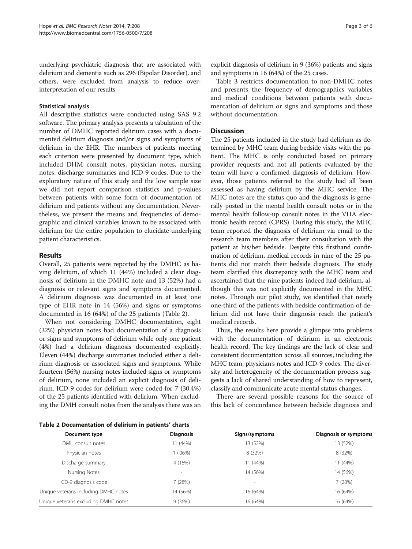underlying psychiatric diagnosis that are associated with delirium and dementia such as 296 (Bipolar Disorder), and others, were excluded from analysis to reduce overinterpretation of our results.

#### Statistical analysis

All descriptive statistics were conducted using SAS 9.2 software. The primary analysis presents a tabulation of the number of DMHC reported delirium cases with a documented delirium diagnosis and/or signs and symptoms of delirium in the EHR. The numbers of patients meeting each criterion were presented by document type, which included DHM consult notes, physician notes, nursing notes, discharge summaries and ICD-9 codes. Due to the exploratory nature of this study and the low sample size we did not report comparison statistics and p-values between patients with some form of documentation of delirium and patients without any documentation. Nevertheless, we present the means and frequencies of demographic and clinical variables known to be associated with delirium for the entire population to elucidate underlying patient characteristics.

#### Results

Overall, 25 patients were reported by the DMHC as having delirium, of which 11 (44%) included a clear diagnosis of delirium in the DMHC note and 13 (52%) had a diagnosis or relevant signs and symptoms documented. A delirium diagnosis was documented in at least one type of EHR note in 14 (56%) and signs or symptoms documented in 16 (64%) of the 25 patients (Table 2).

When not considering DMHC documentation, eight (32%) physician notes had documentation of a diagnosis or signs and symptoms of delirium while only one patient (4%) had a delirium diagnosis documented explicitly. Eleven (44%) discharge summaries included either a delirium diagnosis or associated signs and symptoms. While fourteen (56%) nursing notes included signs or symptoms of delirium, none included an explicit diagnosis of delirium. ICD-9 codes for delirium were coded for 7 (30.4%) of the 25 patients identified with delirium. When excluding the DMH consult notes from the analysis there was an

explicit diagnosis of delirium in 9 (36%) patients and signs and symptoms in 16 (64%) of the 25 cases.

Table [3](#page-3-0) restricts documentation to non-DMHC notes and presents the frequency of demographics variables and medical conditions between patients with documentation of delirium or signs and symptoms and those without documentation.

#### **Discussion**

The 25 patients included in the study had delirium as determined by MHC team during bedside visits with the patient. The MHC is only conducted based on primary provider requests and not all patients evaluated by the team will have a confirmed diagnosis of delirium. However, those patients referred to the study had all been assessed as having delirium by the MHC service. The MHC notes are the status quo and the diagnosis is generally posted in the mental health consult notes or in the mental health follow-up consult notes in the VHA electronic health record (CPRS). During this study, the MHC team reported the diagnosis of delirium via email to the research team members after their consultation with the patient at his/her bedside. Despite this firsthand confirmation of delirium, medical records in nine of the 25 patients did not match their bedside diagnosis. The study team clarified this discrepancy with the MHC team and ascertained that the nine patients indeed had delirium, although this was not explicitly documented in the MHC notes. Through our pilot study, we identified that nearly one-third of the patients with bedside confirmation of delirium did not have their diagnosis reach the patient's medical records.

Thus, the results here provide a glimpse into problems with the documentation of delirium in an electronic health record. The key findings are the lack of clear and consistent documentation across all sources, including the MHC team, physician's notes and ICD-9 codes. The diversity and heterogeneity of the documentation process suggests a lack of shared understanding of how to represent, classify and communicate acute mental status changes.

There are several possible reasons for the source of this lack of concordance between bedside diagnosis and

Table 2 Documentation of delirium in patients' charts

| Document type                        | <b>Diagnosis</b>         | Signs/symptoms | Diagnosis or symptoms |
|--------------------------------------|--------------------------|----------------|-----------------------|
| DMH consult notes                    | 11 (44%)                 | 13 (52%)       | 13 (52%)              |
| Physician notes                      | $(0.06\%)$               | 8 (32%)        | 8 (32%)               |
| Discharge summary                    | 4 (16%)                  | 11 (44%)       | 11 (44%)              |
| Nursing Notes                        | $\overline{\phantom{a}}$ | 14 (56%)       | 14 (56%)              |
| ICD-9 diagnosis code                 | 7(28%)                   | $\sim$         | 7(28%)                |
| Unique veterans including DMHC notes | 14 (56%)                 | 16 (64%)       | 16 (64%)              |
| Unique veterans excluding DMHC notes | 9(36%)                   | 16 (64%)       | 16 (64%)              |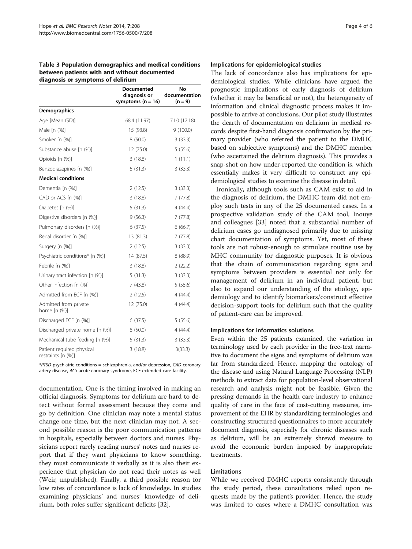<span id="page-3-0"></span>Table 3 Population demographics and medical conditions between patients with and without documented diagnosis or symptoms of delirium

|                                                 | Documented<br>diagnosis or<br>symptoms $(n = 16)$ | No<br>documentation<br>$(n = 9)$ |
|-------------------------------------------------|---------------------------------------------------|----------------------------------|
| <b>Demographics</b>                             |                                                   |                                  |
| Age [Mean (SD)]                                 | 68.4 (11.97)                                      | 71.0 (12.18)                     |
| Male [n (%)]                                    | 15 (93.8)                                         | 9(100.0)                         |
| Smoker [n (%)]                                  | 8(50.0)                                           | 3(33.3)                          |
| Substance abuse [n (%)]                         | 12(75.0)                                          | 5(55.6)                          |
| Opioids [n (%)]                                 | 3(18.8)                                           | 1(11.1)                          |
| Benzodiazepines [n (%)]                         | 5(31.3)                                           | 3(33.3)                          |
| <b>Medical conditions</b>                       |                                                   |                                  |
| Dementia [n (%)]                                | 2(12.5)                                           | 3(33.3)                          |
| CAD or ACS [n (%)]                              | 3(18.8)                                           | 7(77.8)                          |
| Diabetes [n (%)]                                | 5(31.3)                                           | 4(44.4)                          |
| Digestive disorders [n (%)]                     | 9(56.3)                                           | 7(77.8)                          |
| Pulmonary disorders [n (%)]                     | 6(37.5)                                           | 6(66.7)                          |
| Renal disorder [n (%)]                          | 13(81.3)                                          | 7(77.8)                          |
| Surgery [n (%)]                                 | 2(12.5)                                           | 3(33.3)                          |
| Psychiatric conditions* [n (%)]                 | 14 (87.5)                                         | 8(88.9)                          |
| Febrile [n (%)]                                 | 3(18.8)                                           | 2(22.2)                          |
| Urinary tract infection [n (%)]                 | 5(31.3)                                           | 3(33.3)                          |
| Other infection [n (%)]                         | 7(43.8)                                           | 5(55.6)                          |
| Admitted from ECF [n (%)]                       | 2(12.5)                                           | 4(44.4)                          |
| Admitted from private<br>home [n (%)]           | 12 (75.0)                                         | 4(44.4)                          |
| Discharged ECF [n (%)]                          | 6(37.5)                                           | 5(55.6)                          |
| Discharged private home [n (%)]                 | 8(50.0)                                           | 4(44.4)                          |
| Mechanical tube feeding [n (%)]                 | 5(31.3)                                           | 3(33.3)                          |
| Patient required physical<br>restraints [n (%)] | 3(18.8)                                           | 3(33.3)                          |

\*PTSD psychiatric conditions = schizophrenia, and/or depression, CAD coronary artery disease, ACS acute coronary syndrome, ECF extended care facility.

documentation. One is the timing involved in making an official diagnosis. Symptoms for delirium are hard to detect without formal assessment because they come and go by definition. One clinician may note a mental status change one time, but the next clinician may not. A second possible reason is the poor communication patterns in hospitals, especially between doctors and nurses. Physicians report rarely reading nurses' notes and nurses report that if they want physicians to know something, they must communicate it verbally as it is also their experience that physician do not read their notes as well (Weir, unpublished). Finally, a third possible reason for low rates of concordance is lack of knowledge. In studies examining physicians' and nurses' knowledge of delirium, both roles suffer significant deficits [\[32](#page-5-0)].

#### Implications for epidemiological studies

The lack of concordance also has implications for epidemiological studies. While clinicians have argued the prognostic implications of early diagnosis of delirium (whether it may be beneficial or not), the heterogeneity of information and clinical diagnostic process makes it impossible to arrive at conclusions. Our pilot study illustrates the dearth of documentation on delirium in medical records despite first-hand diagnosis confirmation by the primary provider (who referred the patient to the DMHC based on subjective symptoms) and the DMHC member (who ascertained the delirium diagnosis). This provides a snap-shot on how under-reported the condition is, which essentially makes it very difficult to construct any epidemiological studies to examine the disease in detail.

Ironically, although tools such as CAM exist to aid in the diagnosis of delirium, the DMHC team did not employ such tests in any of the 25 documented cases. In a prospective validation study of the CAM tool, Inouye and colleagues [[33\]](#page-5-0) noted that a substantial number of delirium cases go undiagnosed primarily due to missing chart documentation of symptoms. Yet, most of these tools are not robust-enough to stimulate routine use by MHC community for diagnostic purposes. It is obvious that the chain of communication regarding signs and symptoms between providers is essential not only for management of delirium in an individual patient, but also to expand our understanding of the etiology, epidemiology and to identify biomarkers/construct effective decision-support tools for delirium such that the quality of patient-care can be improved.

#### Implications for informatics solutions

Even within the 25 patients examined, the variation in terminology used by each provider in the free-text narrative to document the signs and symptoms of delirium was far from standardized. Hence, mapping the ontology of the disease and using Natural Language Processing (NLP) methods to extract data for population-level observational research and analysis might not be feasible. Given the pressing demands in the health care industry to enhance quality of care in the face of cost-cutting measures, improvement of the EHR by standardizing terminologies and constructing structured questionnaires to more accurately document diagnosis, especially for chronic diseases such as delirium, will be an extremely shrewd measure to avoid the economic burden imposed by inappropriate treatments.

#### Limitations

While we received DMHC reports consistently through the study period, these consultations relied upon requests made by the patient's provider. Hence, the study was limited to cases where a DMHC consultation was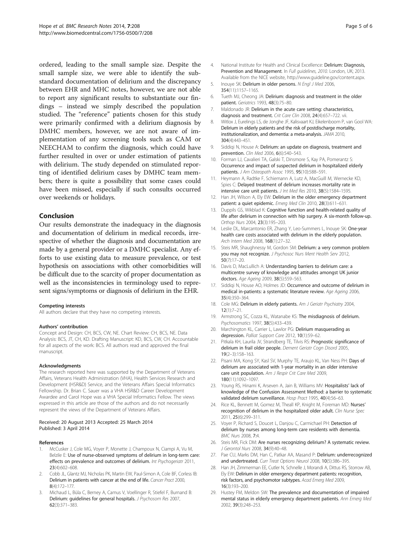<span id="page-4-0"></span>ordered, leading to the small sample size. Despite the small sample size, we were able to identify the substandard documentation of delirium and the discrepancy between EHR and MHC notes, however, we are not able to report any significant results to substantiate our findings – instead we simply described the population studied. The "reference" patients chosen for this study were primarily confirmed with a delirium diagnosis by DMHC members, however, we are not aware of implementation of any screening tools such as CAM or NEECHAM to confirm the diagnosis, which could have further resulted in over or under estimation of patients with delirium. The study depended on stimulated reporting of identified delirium cases by DMHC team members; there is quite a possibility that some cases could have been missed, especially if such consults occurred over weekends or holidays.

#### Conclusion

Our results demonstrate the inadequacy in the diagnosis and documentation of delirium in medical records, irrespective of whether the diagnosis and documentation are made by a general provider or a DMHC specialist. Any efforts to use existing data to measure prevalence, or test hypothesis on associations with other comorbidities will be difficult due to the scarcity of proper documentation as well as the inconsistencies in terminology used to represent signs/symptoms or diagnosis of delirium in the EHR.

#### Competing interests

All authors declare that they have no competing interests.

#### Authors' contribution

Concept and Design: CH, BCS, CW, NE. Chart Review: CH, BCS, NE. Data Analysis: BCS, JT, CH, KD. Drafting Manuscript: KD, BCS, CW, CH. Accountable for all aspects of the work: BCS. All authors read and approved the final manuscript.

#### Acknowledgments

The research reported here was supported by the Department of Veterans Affairs, Veterans Health Administration (VHA), Health Services Research and Development (HSR&D) Service, and the Veterans Affairs Special Informatics Fellowship. Dr. Brian C. Sauer was a VHA HSR&D Career Development Awardee and Carol Hope was a VHA Special Informatics Fellow. The views expressed in this article are those of the authors and do not necessarily represent the views of the Department of Veterans Affairs.

#### Received: 20 August 2013 Accepted: 25 March 2014 Published: 3 April 2014

#### References

- 1. McCusker J, Cole MG, Voyer P, Monette J, Champoux N, Ciampi A, Vu M, Belzile E: Use of nurse-observed symptoms of delirium in long-term care: effects on prevalence and outcomes of delirium. Int Psychogeriatr 2011, 23(4):602–608.
- Cobb JL, Glantz MJ, Nicholas PK, Martin EW, Paul-Simon A, Cole BF, Corless IB: Delirium in patients with cancer at the end of life. Cancer Pract 2000, 8(4):172–177.
- Michaud L, Büla C, Berney A, Camus V, Voellinger R, Stiefel F, Burnand B: Delirium: guidelines for general hospitals. J Psychosom Res 2007, 62(3):371–383.
- 4. National Institute for Health and Clinical Excellence: Delirium: Diagnosis, Prevention and Management. In Full quidelines, 2010. London, UK; 2013. Available from the NICE website, [http://www.guideline.gov/content.aspx.](http://www.guideline.gov/content.aspx)
- 5. Inouye SK: Delirium in older persons. N Engl J Med 2006, 354(11):1157–1165.
- 6. Tueth MJ, Cheong JA: Delirium: diagnosis and treatment in the older patient. Geriatrics 1993, 48(3):75–80.
- 7. Maldonado JR: Delirium in the acute care setting: characteristics, diagnosis and treatment. Crit Care Clin 2008, 24(4):657–722. vii.
- 8. Witlox J, Eurelings LS, de Jonghe JF, Kalisvaart KJ, Eikelenboom P, van Gool WA: Delirium in elderly patients and the risk of postdischarge mortality, institutionalization, and dementia: a meta-analysis. JAMA 2010, 304(4):443–451.
- 9. Siddiqi N, House A: Delirium: an update on diagnosis, treatment and prevention. Clin Med 2006, 6(6):540–543.
- 10. Forman LJ, Cavalieri TA, Galski T, Dinsmore S, Kay PA, Pomerantz S: Occurrence and impact of suspected delirium in hospitalized elderly patients. J Am Osteopath Assoc 1995, 95(10):588-591.
- 11. Heymann A, Radtke F, Schiemann A, Lutz A, MacGuill M, Wernecke KD, Spies C: Delayed treatment of delirium increases mortality rate in intensive care unit patients. J Int Med Res 2010, 38(5):1584–1595.
- 12. Han JH, Wilson A, Ely EW: Delirium in the older emergency department patient: a quiet epidemic. Emerg Med Clin 2010, 28(3):611-631.
- 13. Duppils GS, Wikblad K: Cognitive function and health-related quality of life after delirium in connection with hip surgery. A six-month follow-up. Orthop Nurs 2004, 23(3):195–203.
- 14. Leslie DL, Marcantonio ER, Zhang Y, Leo-Summers L, Inouye SK: One-year health care costs associated with delirium in the elderly population. Arch Intern Med 2008, 168(1):27–32.
- 15. Steis MR, Shaughnessy M, Gordon SM: Delirium: a very common problem you may not recognize. J Psychosoc Nurs Ment Health Serv 2012, 50(7):17–20.
- 16. Davis D, MacLullich A: Understanding barriers to delirium care: a multicentre survey of knowledge and attitudes amongst UK junior doctors. Age Ageing 2009, 38(5):559–563.
- 17. Siddiqi N, House AO, Holmes JD: Occurrence and outcome of delirium in medical in-patients: a systematic literature review. Age Ageing 2006, 35(4):350–364.
- 18. Cole MG: Delirium in elderly patients. Am J Geriatr Psychiatry 2004, 12(1):7–21.
- 19. Armstrong SC, Cozza KL, Watanabe KS: The misdiagnosis of delirium. Psychosomatics 1997, 38(5):433–439.
- 20. Marchington KL, Carrier L, Lawlor PG: Delirium masquerading as depression. Palliat Support Care 2012, 10(1):59-62.
- 21. Pitkala KH, Laurila JV, Strandberg TE, Tilvis RS: Prognostic significance of delirium in frail older people. Dement Geriatr Cogn Disord 2005, 19(2–3):158–163.
- 22. Pisani MA, Kong SY, Kasl SV, Murphy TE, Araujo KL, Van Ness PH: Days of delirium are associated with 1-year mortality in an older intensive care unit population. Am J Respir Crit Care Med 2009, 180(11):1092–1097.
- 23. Young RS, Hinami K, Arseven A, Jain B, Williams MV: Hospitalists' lack of knowledge of the Confusion Assessment Method: a barrier to systematic validated delirium surveillance. Hosp Pract 1995, 40(4):56-63.
- 24. Rice KL, Bennett M, Gomez M, Theall KP, Knight M, Foreman MD: Nurses' recognition of delirium in the hospitalized older adult. Clin Nurse Spec 2011, 25(6):299–311.
- 25. Voyer P, Richard S, Doucet L, Danjou C, Carmichael PH: Detection of delirium by nurses among long-term care residents with dementia. BMC Nurs 2008, 7:4.
- 26. Steis MR, Fick DM: Are nurses recognizing delirium? A systematic review. J Gerontol Nurs 2008, 34(9):40–48.
- 27. Pae CU, Marks DM, Han C, Patkar AA, Masand P: Delirium: underrecognized and undertreated. Curr Treat Options Neurol 2008, 10(5):386–395.
- 28. Han JH, Zimmerman EE, Cutler N, Schnelle J, Morandi A, Dittus RS, Storrow AB, Ely EW: Delirium in older emergency department patients: recognition, risk factors, and psychomotor subtypes. Acad Emerg Med 2009, 16(3):193–200.
- 29. Hustey FM, Meldon SW: The prevalence and documentation of impaired mental status in elderly emergency department patients. Ann Emerg Med 2002, 39(3):248–253.